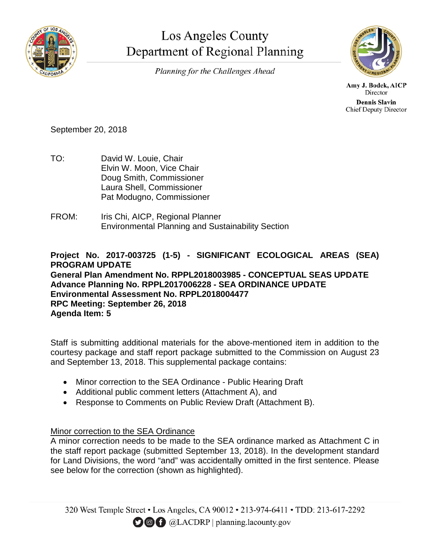

## Los Angeles County Department of Regional Planning

Planning for the Challenges Ahead



Amy J. Bodek, AICP Director **Dennis Slavin Chief Deputy Director** 

September 20, 2018

- TO: David W. Louie, Chair Elvin W. Moon, Vice Chair Doug Smith, Commissioner Laura Shell, Commissioner Pat Modugno, Commissioner
- FROM: Iris Chi, AICP, Regional Planner Environmental Planning and Sustainability Section

**Project No. 2017-003725 (1-5) - SIGNIFICANT ECOLOGICAL AREAS (SEA) PROGRAM UPDATE**

**General Plan Amendment No. RPPL2018003985 - CONCEPTUAL SEAS UPDATE Advance Planning No. RPPL2017006228 - SEA ORDINANCE UPDATE Environmental Assessment No. RPPL2018004477 RPC Meeting: September 26, 2018 Agenda Item: 5**

Staff is submitting additional materials for the above-mentioned item in addition to the courtesy package and staff report package submitted to the Commission on August 23 and September 13, 2018. This supplemental package contains:

- Minor correction to the SEA Ordinance Public Hearing Draft
- Additional public comment letters (Attachment A), and
- Response to Comments on Public Review Draft (Attachment B).

## Minor correction to the SEA Ordinance

A minor correction needs to be made to the SEA ordinance marked as Attachment C in the staff report package (submitted September 13, 2018). In the development standard for Land Divisions, the word "and" was accidentally omitted in the first sentence. Please see below for the correction (shown as highlighted).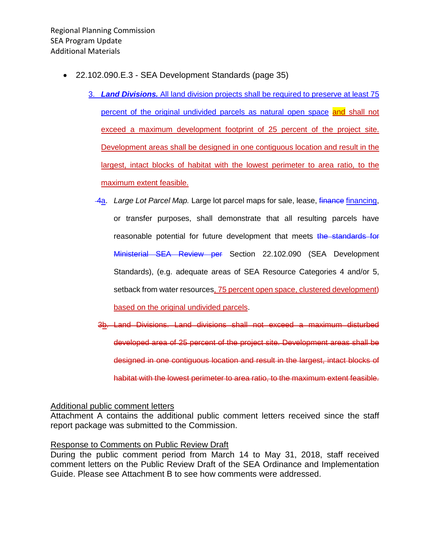- 22.102.090.E.3 SEA Development Standards (page 35)
	- 3. *Land Divisions.* All land division projects shall be required to preserve at least 75 percent of the original undivided parcels as natural open space and shall not exceed a maximum development footprint of 25 percent of the project site. Development areas shall be designed in one contiguous location and result in the largest, intact blocks of habitat with the lowest perimeter to area ratio, to the maximum extent feasible.
		- 4a. Large Lot Parcel Map. Large lot parcel maps for sale, lease, *finance* financing, or transfer purposes, shall demonstrate that all resulting parcels have reasonable potential for future development that meets the standards for Ministerial SEA Review per Section 22.102.090 (SEA Development Standards), (e.g. adequate areas of SEA Resource Categories 4 and/or 5, setback from water resources, 75 percent open space, clustered development) based on the original undivided parcels.
		- 3b. Land Divisions. Land divisions shall not exceed a maximum disturbed developed area of 25 percent of the project site. Development areas shall be designed in one contiguous location and result in the largest, intact blocks of habitat with the lowest perimeter to area ratio, to the maximum extent feasible.

## Additional public comment letters

Attachment A contains the additional public comment letters received since the staff report package was submitted to the Commission.

## Response to Comments on Public Review Draft

During the public comment period from March 14 to May 31, 2018, staff received comment letters on the Public Review Draft of the SEA Ordinance and Implementation Guide. Please see Attachment B to see how comments were addressed.